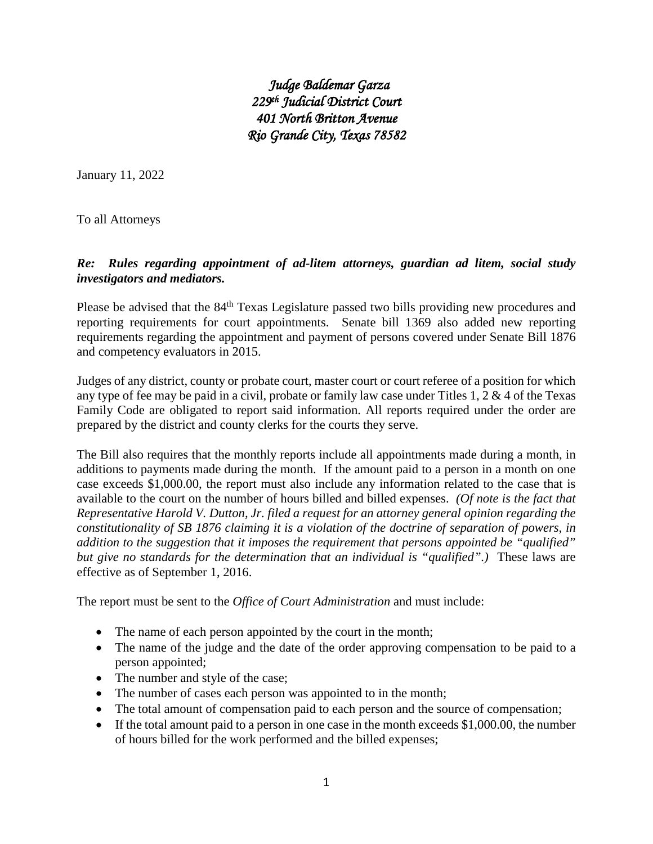*Judge Baldemar Garza 229th Judicial District Court 401 North Britton Avenue Rio Grande City, Texas 78582*

January 11, 2022

To all Attorneys

# *Re: Rules regarding appointment of ad-litem attorneys, guardian ad litem, social study investigators and mediators.*

Please be advised that the 84<sup>th</sup> Texas Legislature passed two bills providing new procedures and reporting requirements for court appointments. Senate bill 1369 also added new reporting requirements regarding the appointment and payment of persons covered under Senate Bill 1876 and competency evaluators in 2015.

Judges of any district, county or probate court, master court or court referee of a position for which any type of fee may be paid in a civil, probate or family law case under Titles 1, 2 & 4 of the Texas Family Code are obligated to report said information. All reports required under the order are prepared by the district and county clerks for the courts they serve.

The Bill also requires that the monthly reports include all appointments made during a month, in additions to payments made during the month. If the amount paid to a person in a month on one case exceeds \$1,000.00, the report must also include any information related to the case that is available to the court on the number of hours billed and billed expenses. *(Of note is the fact that Representative Harold V. Dutton, Jr. filed a request for an attorney general opinion regarding the constitutionality of SB 1876 claiming it is a violation of the doctrine of separation of powers, in addition to the suggestion that it imposes the requirement that persons appointed be "qualified" but give no standards for the determination that an individual is "qualified".)* These laws are effective as of September 1, 2016.

The report must be sent to the *Office of Court Administration* and must include:

- The name of each person appointed by the court in the month;
- The name of the judge and the date of the order approving compensation to be paid to a person appointed;
- The number and style of the case;
- The number of cases each person was appointed to in the month;
- The total amount of compensation paid to each person and the source of compensation;
- If the total amount paid to a person in one case in the month exceeds \$1,000.00, the number of hours billed for the work performed and the billed expenses;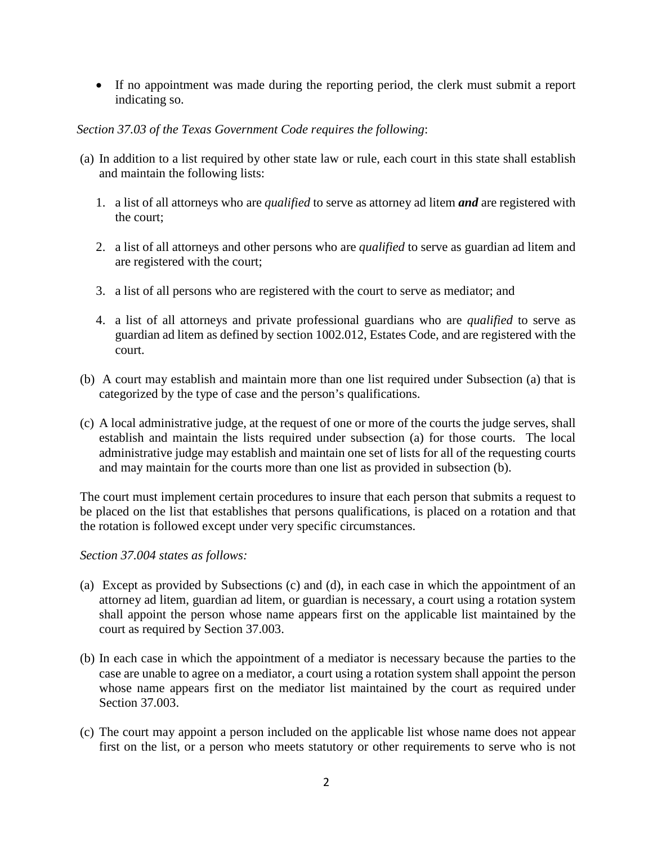• If no appointment was made during the reporting period, the clerk must submit a report indicating so.

### *Section 37.03 of the Texas Government Code requires the following*:

- (a) In addition to a list required by other state law or rule, each court in this state shall establish and maintain the following lists:
	- 1. a list of all attorneys who are *qualified* to serve as attorney ad litem *and* are registered with the court;
	- 2. a list of all attorneys and other persons who are *qualified* to serve as guardian ad litem and are registered with the court;
	- 3. a list of all persons who are registered with the court to serve as mediator; and
	- 4. a list of all attorneys and private professional guardians who are *qualified* to serve as guardian ad litem as defined by section 1002.012, Estates Code, and are registered with the court.
- (b) A court may establish and maintain more than one list required under Subsection (a) that is categorized by the type of case and the person's qualifications.
- (c) A local administrative judge, at the request of one or more of the courts the judge serves, shall establish and maintain the lists required under subsection (a) for those courts. The local administrative judge may establish and maintain one set of lists for all of the requesting courts and may maintain for the courts more than one list as provided in subsection (b).

The court must implement certain procedures to insure that each person that submits a request to be placed on the list that establishes that persons qualifications, is placed on a rotation and that the rotation is followed except under very specific circumstances.

#### *Section 37.004 states as follows:*

- (a) Except as provided by Subsections (c) and (d), in each case in which the appointment of an attorney ad litem, guardian ad litem, or guardian is necessary, a court using a rotation system shall appoint the person whose name appears first on the applicable list maintained by the court as required by Section 37.003.
- (b) In each case in which the appointment of a mediator is necessary because the parties to the case are unable to agree on a mediator, a court using a rotation system shall appoint the person whose name appears first on the mediator list maintained by the court as required under Section 37.003.
- (c) The court may appoint a person included on the applicable list whose name does not appear first on the list, or a person who meets statutory or other requirements to serve who is not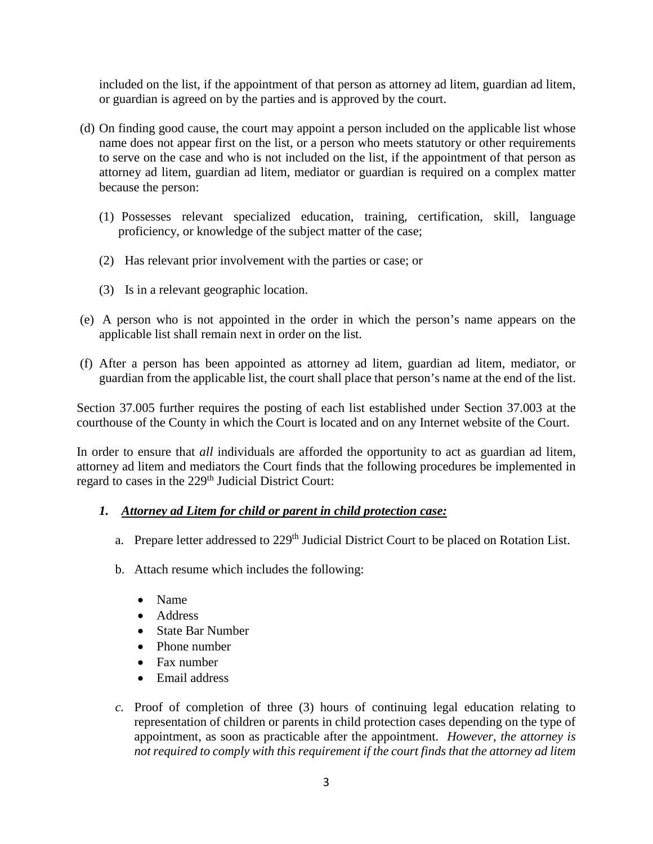included on the list, if the appointment of that person as attorney ad litem, guardian ad litem, or guardian is agreed on by the parties and is approved by the court.

- (d) On finding good cause, the court may appoint a person included on the applicable list whose name does not appear first on the list, or a person who meets statutory or other requirements to serve on the case and who is not included on the list, if the appointment of that person as attorney ad litem, guardian ad litem, mediator or guardian is required on a complex matter because the person:
	- (1) Possesses relevant specialized education, training, certification, skill, language proficiency, or knowledge of the subject matter of the case;
	- (2) Has relevant prior involvement with the parties or case; or
	- (3) Is in a relevant geographic location.
- (e) A person who is not appointed in the order in which the person's name appears on the applicable list shall remain next in order on the list.
- (f) After a person has been appointed as attorney ad litem, guardian ad litem, mediator, or guardian from the applicable list, the court shall place that person's name at the end of the list.

Section 37.005 further requires the posting of each list established under Section 37.003 at the courthouse of the County in which the Court is located and on any Internet website of the Court.

In order to ensure that *all* individuals are afforded the opportunity to act as guardian ad litem, attorney ad litem and mediators the Court finds that the following procedures be implemented in regard to cases in the 229<sup>th</sup> Judicial District Court:

#### *1. Attorney ad Litem for child or parent in child protection case:*

- a. Prepare letter addressed to 229<sup>th</sup> Judicial District Court to be placed on Rotation List.
- b. Attach resume which includes the following:
	- Name
	- Address
	- State Bar Number
	- Phone number
	- Fax number
	- Email address
- *c.* Proof of completion of three (3) hours of continuing legal education relating to representation of children or parents in child protection cases depending on the type of appointment, as soon as practicable after the appointment. *However, the attorney is not required to comply with this requirement if the court finds that the attorney ad litem*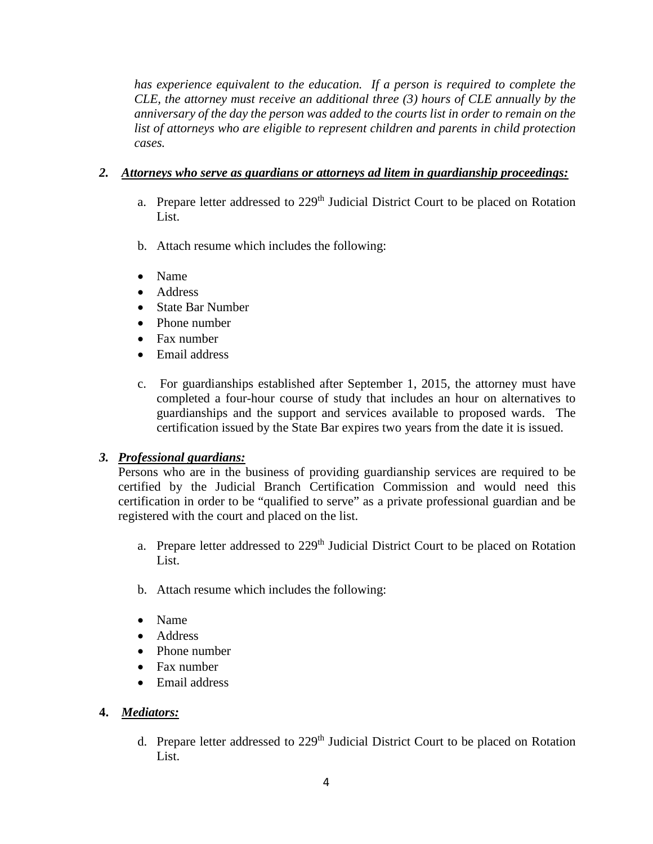*has experience equivalent to the education. If a person is required to complete the CLE, the attorney must receive an additional three (3) hours of CLE annually by the anniversary of the day the person was added to the courts list in order to remain on the list of attorneys who are eligible to represent children and parents in child protection cases.*

### *2. Attorneys who serve as guardians or attorneys ad litem in guardianship proceedings:*

- a. Prepare letter addressed to  $229<sup>th</sup>$  Judicial District Court to be placed on Rotation List.
- b. Attach resume which includes the following:
- Name
- Address
- State Bar Number
- Phone number
- Fax number
- Email address
- c. For guardianships established after September 1, 2015, the attorney must have completed a four-hour course of study that includes an hour on alternatives to guardianships and the support and services available to proposed wards. The certification issued by the State Bar expires two years from the date it is issued.

# *3. Professional guardians:*

Persons who are in the business of providing guardianship services are required to be certified by the Judicial Branch Certification Commission and would need this certification in order to be "qualified to serve" as a private professional guardian and be registered with the court and placed on the list.

- a. Prepare letter addressed to 229<sup>th</sup> Judicial District Court to be placed on Rotation List.
- b. Attach resume which includes the following:
- Name
- Address
- Phone number
- Fax number
- Email address

# **4.** *Mediators:*

d. Prepare letter addressed to 229<sup>th</sup> Judicial District Court to be placed on Rotation List.